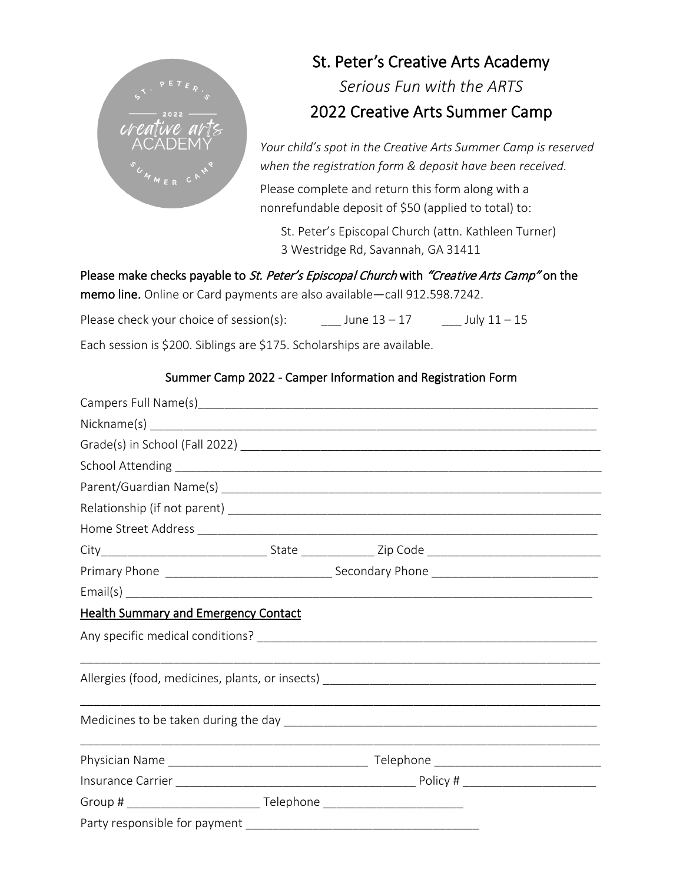

# St. Peter's Creative Arts Academy *Serious Fun with the ARTS* 2022 Creative Arts Summer Camp

*Your child's spot in the Creative Arts Summer Camp is reserved when the registration form & deposit have been received.* Please complete and return this form along with a

nonrefundable deposit of \$50 (applied to total) to:

St. Peter's Episcopal Church (attn. Kathleen Turner) 3 Westridge Rd, Savannah, GA 31411

Please make checks payable to St. Peter's Episcopal Church with "Creative Arts Camp" on the memo line. Online or Card payments are also available—call 912.598.7242.

Please check your choice of session(s):  $\qquad \qquad$  June  $13 - 17$  July  $11 - 15$ 

Each session is \$200. Siblings are \$175. Scholarships are available.

### Summer Camp 2022 - Camper Information and Registration Form

| <b>Health Summary and Emergency Contact</b> |  |  |  |  |  |  |  |
|---------------------------------------------|--|--|--|--|--|--|--|
|                                             |  |  |  |  |  |  |  |
|                                             |  |  |  |  |  |  |  |
|                                             |  |  |  |  |  |  |  |
|                                             |  |  |  |  |  |  |  |
|                                             |  |  |  |  |  |  |  |
|                                             |  |  |  |  |  |  |  |
|                                             |  |  |  |  |  |  |  |